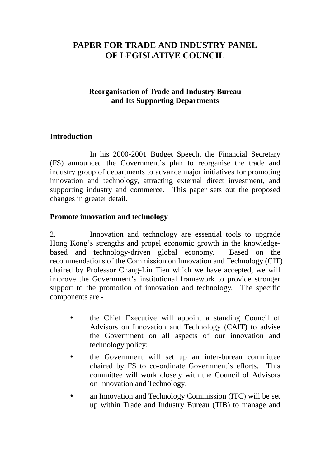# **PAPER FOR TRADE AND INDUSTRY PANEL OF LEGISLATIVE COUNCIL**

### **Reorganisation of Trade and Industry Bureau and Its Supporting Departments**

### **Introduction**

In his 2000-2001 Budget Speech, the Financial Secretary (FS) announced the Government's plan to reorganise the trade and industry group of departments to advance major initiatives for promoting innovation and technology, attracting external direct investment, and supporting industry and commerce. This paper sets out the proposed changes in greater detail.

### **Promote innovation and technology**

2. Innovation and technology are essential tools to upgrade Hong Kong's strengths and propel economic growth in the knowledgebased and technology-driven global economy. Based on the recommendations of the Commission on Innovation and Technology (CIT) chaired by Professor Chang-Lin Tien which we have accepted, we will improve the Government's institutional framework to provide stronger support to the promotion of innovation and technology. The specific components are -

- ! the Chief Executive will appoint a standing Council of Advisors on Innovation and Technology (CAIT) to advise the Government on all aspects of our innovation and technology policy;
- ! the Government will set up an inter-bureau committee chaired by FS to co-ordinate Government's efforts. This committee will work closely with the Council of Advisors on Innovation and Technology;
- an Innovation and Technology Commission (ITC) will be set up within Trade and Industry Bureau (TIB) to manage and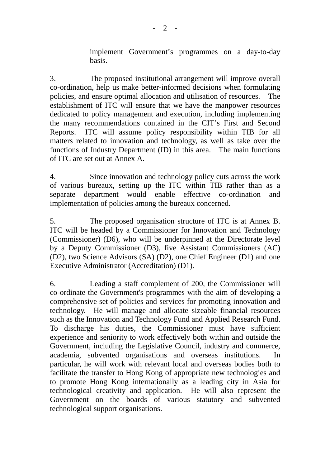implement Government's programmes on a day-to-day basis.

3. The proposed institutional arrangement will improve overall co-ordination, help us make better-informed decisions when formulating policies, and ensure optimal allocation and utilisation of resources. The establishment of ITC will ensure that we have the manpower resources dedicated to policy management and execution, including implementing the many recommendations contained in the CIT's First and Second Reports. ITC will assume policy responsibility within TIB for all matters related to innovation and technology, as well as take over the functions of Industry Department (ID) in this area. The main functions of ITC are set out at Annex A.

4. Since innovation and technology policy cuts across the work of various bureaux, setting up the ITC within TIB rather than as a separate department would enable effective co-ordination and implementation of policies among the bureaux concerned.

5. The proposed organisation structure of ITC is at Annex B. ITC will be headed by a Commissioner for Innovation and Technology (Commissioner) (D6), who will be underpinned at the Directorate level by a Deputy Commissioner (D3), five Assistant Commissioners (AC) (D2), two Science Advisors (SA) (D2), one Chief Engineer (D1) and one Executive Administrator (Accreditation) (D1).

6. Leading a staff complement of 200, the Commissioner will co-ordinate the Government's programmes with the aim of developing a comprehensive set of policies and services for promoting innovation and technology. He will manage and allocate sizeable financial resources such as the Innovation and Technology Fund and Applied Research Fund. To discharge his duties, the Commissioner must have sufficient experience and seniority to work effectively both within and outside the Government, including the Legislative Council, industry and commerce, academia, subvented organisations and overseas institutions. In particular, he will work with relevant local and overseas bodies both to facilitate the transfer to Hong Kong of appropriate new technologies and to promote Hong Kong internationally as a leading city in Asia for technological creativity and application. He will also represent the Government on the boards of various statutory and subvented technological support organisations.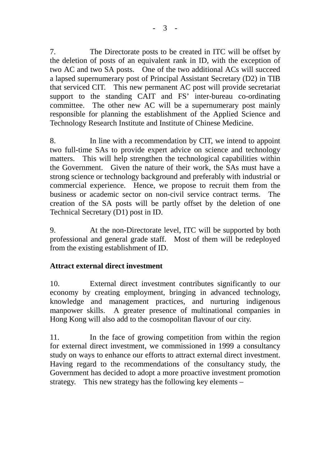7. The Directorate posts to be created in ITC will be offset by the deletion of posts of an equivalent rank in ID, with the exception of two AC and two SA posts. One of the two additional ACs will succeed a lapsed supernumerary post of Principal Assistant Secretary (D2) in TIB that serviced CIT. This new permanent AC post will provide secretariat support to the standing CAIT and FS' inter-bureau co-ordinating committee. The other new AC will be a supernumerary post mainly responsible for planning the establishment of the Applied Science and Technology Research Institute and Institute of Chinese Medicine.

8. In line with a recommendation by CIT, we intend to appoint two full-time SAs to provide expert advice on science and technology matters. This will help strengthen the technological capabilities within the Government. Given the nature of their work, the SAs must have a strong science or technology background and preferably with industrial or commercial experience. Hence, we propose to recruit them from the business or academic sector on non-civil service contract terms. The creation of the SA posts will be partly offset by the deletion of one Technical Secretary (D1) post in ID.

9. At the non-Directorate level, ITC will be supported by both professional and general grade staff. Most of them will be redeployed from the existing establishment of ID.

## **Attract external direct investment**

10. External direct investment contributes significantly to our economy by creating employment, bringing in advanced technology, knowledge and management practices, and nurturing indigenous manpower skills. A greater presence of multinational companies in Hong Kong will also add to the cosmopolitan flavour of our city.

11. In the face of growing competition from within the region for external direct investment, we commissioned in 1999 a consultancy study on ways to enhance our efforts to attract external direct investment. Having regard to the recommendations of the consultancy study, the Government has decided to adopt a more proactive investment promotion strategy. This new strategy has the following key elements –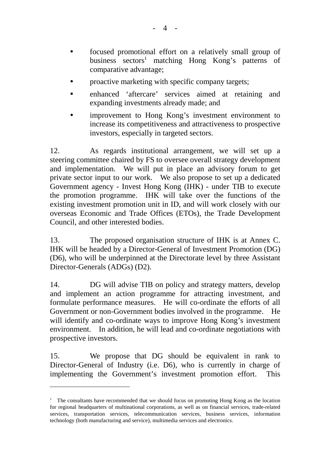- ! focused promotional effort on a relatively small group of business sectors<sup>1</sup> matching Hong Kong's patterns of comparative advantage;
- proactive marketing with specific company targets;
- ! enhanced 'aftercare' services aimed at retaining and expanding investments already made; and
- improvement to Hong Kong's investment environment to increase its competitiveness and attractiveness to prospective investors, especially in targeted sectors.

12. As regards institutional arrangement, we will set up a steering committee chaired by FS to oversee overall strategy development and implementation. We will put in place an advisory forum to get private sector input to our work. We also propose to set up a dedicated Government agency - Invest Hong Kong (IHK) - under TIB to execute the promotion programme. IHK will take over the functions of the existing investment promotion unit in ID, and will work closely with our overseas Economic and Trade Offices (ETOs), the Trade Development Council, and other interested bodies.

13. The proposed organisation structure of IHK is at Annex C. IHK will be headed by a Director-General of Investment Promotion (DG) (D6), who will be underpinned at the Directorate level by three Assistant Director-Generals (ADGs) (D2).

14. DG will advise TIB on policy and strategy matters, develop and implement an action programme for attracting investment, and formulate performance measures. He will co-ordinate the efforts of all Government or non-Government bodies involved in the programme. He will identify and co-ordinate ways to improve Hong Kong's investment environment. In addition, he will lead and co-ordinate negotiations with prospective investors.

15. We propose that DG should be equivalent in rank to Director-General of Industry (i.e. D6), who is currently in charge of implementing the Government's investment promotion effort. This

 $\overline{a}$ 

<sup>&</sup>lt;sup>1</sup> The consultants have recommended that we should focus on promoting Hong Kong as the location for regional headquarters of multinational corporations, as well as on financial services, trade-related services, transportation services, telecommunication services, business services, information technology (both manufacturing and service), multimedia services and electronics.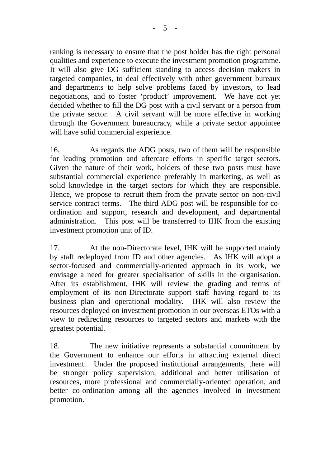ranking is necessary to ensure that the post holder has the right personal qualities and experience to execute the investment promotion programme. It will also give DG sufficient standing to access decision makers in targeted companies, to deal effectively with other government bureaux and departments to help solve problems faced by investors, to lead negotiations, and to foster 'product' improvement. We have not yet decided whether to fill the DG post with a civil servant or a person from the private sector. A civil servant will be more effective in working through the Government bureaucracy, while a private sector appointee will have solid commercial experience.

16. As regards the ADG posts, two of them will be responsible for leading promotion and aftercare efforts in specific target sectors. Given the nature of their work, holders of these two posts must have substantial commercial experience preferably in marketing, as well as solid knowledge in the target sectors for which they are responsible. Hence, we propose to recruit them from the private sector on non-civil service contract terms. The third ADG post will be responsible for coordination and support, research and development, and departmental administration. This post will be transferred to IHK from the existing investment promotion unit of ID.

17. At the non-Directorate level, IHK will be supported mainly by staff redeployed from ID and other agencies. As IHK will adopt a sector-focused and commercially-oriented approach in its work, we envisage a need for greater specialisation of skills in the organisation. After its establishment, IHK will review the grading and terms of employment of its non-Directorate support staff having regard to its business plan and operational modality. IHK will also review the resources deployed on investment promotion in our overseas ETOs with a view to redirecting resources to targeted sectors and markets with the greatest potential.

18. The new initiative represents a substantial commitment by the Government to enhance our efforts in attracting external direct investment. Under the proposed institutional arrangements, there will be stronger policy supervision, additional and better utilisation of resources, more professional and commercially-oriented operation, and better co-ordination among all the agencies involved in investment promotion.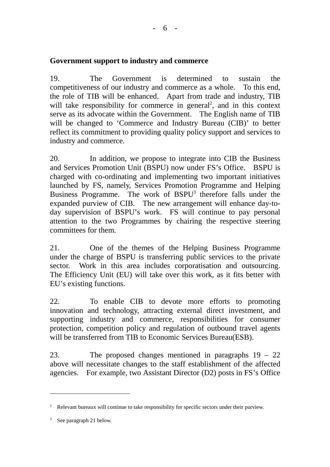### **Government support to industry and commerce**

19. The Government is determined to sustain the competitiveness of our industry and commerce as a whole. To this end, the role of TIB will be enhanced. Apart from trade and industry, TIB will take responsibility for commerce in general<sup>2</sup>, and in this context serve as its advocate within the Government. The English name of TIB will be changed to 'Commerce and Industry Bureau (CIB)' to better reflect its commitment to providing quality policy support and services to industry and commerce.

20. In addition, we propose to integrate into CIB the Business and Services Promotion Unit (BSPU) now under FS's Office. BSPU is charged with co-ordinating and implementing two important initiatives launched by FS, namely, Services Promotion Programme and Helping Business Programme. The work of BSPU<sup>3</sup> therefore falls under the expanded purview of CIB. The new arrangement will enhance day-today supervision of BSPU's work. FS will continue to pay personal attention to the two Programmes by chairing the respective steering committees for them.

21. One of the themes of the Helping Business Programme under the charge of BSPU is transferring public services to the private sector. Work in this area includes corporatisation and outsourcing. The Efficiency Unit (EU) will take over this work, as it fits better with EU's existing functions.

22. To enable CIB to devote more efforts to promoting innovation and technology, attracting external direct investment, and supporting industry and commerce, responsibilities for consumer protection, competition policy and regulation of outbound travel agents will be transferred from TIB to Economic Services Bureau(ESB).

23. The proposed changes mentioned in paragraphs 19 – 22 above will necessitate changes to the staff establishment of the affected agencies. For example, two Assistant Director (D2) posts in FS's Office

 $\overline{a}$ 

<sup>&</sup>lt;sup>2</sup> Relevant bureaux will continue to take responsibility for specific sectors under their purview.

<sup>&</sup>lt;sup>3</sup> See paragraph 21 below.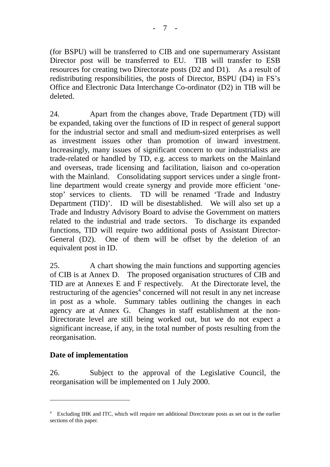(for BSPU) will be transferred to CIB and one supernumerary Assistant Director post will be transferred to EU. TIB will transfer to ESB resources for creating two Directorate posts (D2 and D1). As a result of redistributing responsibilities, the posts of Director, BSPU (D4) in FS's Office and Electronic Data Interchange Co-ordinator (D2) in TIB will be deleted.

24. Apart from the changes above, Trade Department (TD) will be expanded, taking over the functions of ID in respect of general support for the industrial sector and small and medium-sized enterprises as well as investment issues other than promotion of inward investment. Increasingly, many issues of significant concern to our industrialists are trade-related or handled by TD, e.g. access to markets on the Mainland and overseas, trade licensing and facilitation, liaison and co-operation with the Mainland. Consolidating support services under a single frontline department would create synergy and provide more efficient 'onestop' services to clients. TD will be renamed 'Trade and Industry Department (TID)'. ID will be disestablished. We will also set up a Trade and Industry Advisory Board to advise the Government on matters related to the industrial and trade sectors. To discharge its expanded functions, TID will require two additional posts of Assistant Director-General (D2). One of them will be offset by the deletion of an equivalent post in ID.

25. A chart showing the main functions and supporting agencies of CIB is at Annex D. The proposed organisation structures of CIB and TID are at Annexes E and F respectively. At the Directorate level, the restructuring of the agencies<sup>4</sup> concerned will not result in any net increase in post as a whole. Summary tables outlining the changes in each agency are at Annex G. Changes in staff establishment at the non-Directorate level are still being worked out, but we do not expect a significant increase, if any, in the total number of posts resulting from the reorganisation.

## **Date of implementation**

 $\overline{a}$ 

26. Subject to the approval of the Legislative Council, the reorganisation will be implemented on 1 July 2000.

<sup>&</sup>lt;sup>4</sup> Excluding IHK and ITC, which will require net additional Directorate posts as set out in the earlier sections of this paper.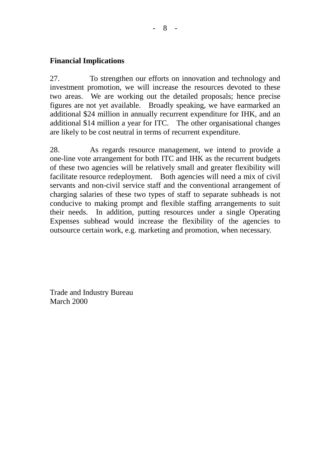### **Financial Implications**

27. To strengthen our efforts on innovation and technology and investment promotion, we will increase the resources devoted to these two areas. We are working out the detailed proposals; hence precise figures are not yet available. Broadly speaking, we have earmarked an additional \$24 million in annually recurrent expenditure for IHK, and an additional \$14 million a year for ITC. The other organisational changes are likely to be cost neutral in terms of recurrent expenditure.

28. As regards resource management, we intend to provide a one-line vote arrangement for both ITC and IHK as the recurrent budgets of these two agencies will be relatively small and greater flexibility will facilitate resource redeployment. Both agencies will need a mix of civil servants and non-civil service staff and the conventional arrangement of charging salaries of these two types of staff to separate subheads is not conducive to making prompt and flexible staffing arrangements to suit their needs. In addition, putting resources under a single Operating Expenses subhead would increase the flexibility of the agencies to outsource certain work, e.g. marketing and promotion, when necessary.

Trade and Industry Bureau March 2000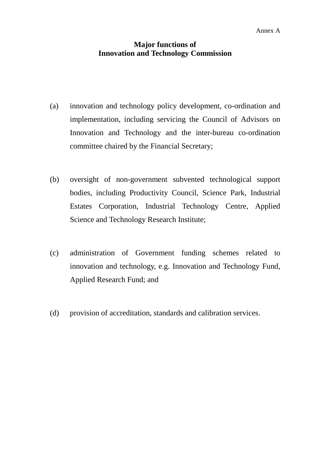### **Major functions of Innovation and Technology Commission**

- (a) innovation and technology policy development, co-ordination and implementation, including servicing the Council of Advisors on Innovation and Technology and the inter-bureau co-ordination committee chaired by the Financial Secretary;
- (b) oversight of non-government subvented technological support bodies, including Productivity Council, Science Park, Industrial Estates Corporation, Industrial Technology Centre, Applied Science and Technology Research Institute;
- (c) administration of Government funding schemes related to innovation and technology, e.g. Innovation and Technology Fund, Applied Research Fund; and
- (d) provision of accreditation, standards and calibration services.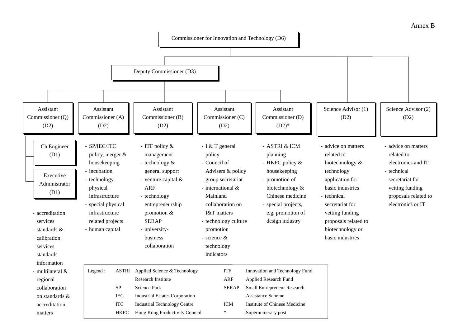#### Annex B

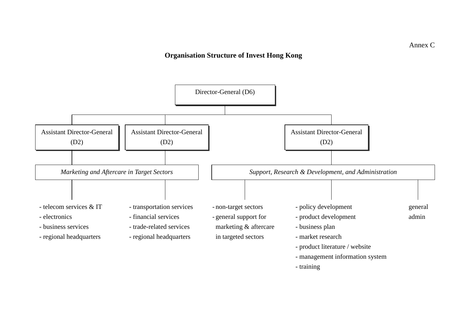### **Organisation Structure of Invest Hong Kong**

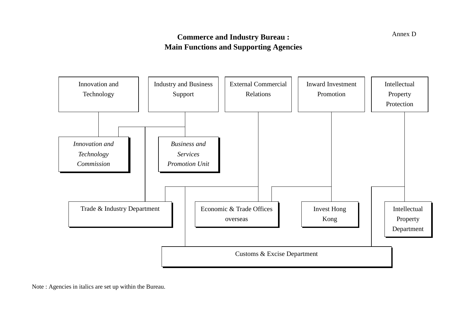## **Commerce and Industry Bureau : Main Functions and Supporting Agencies**



Note : Agencies in italics are set up within the Bureau.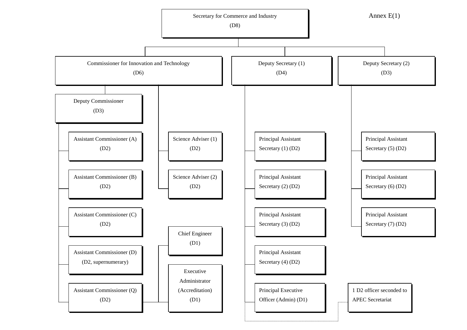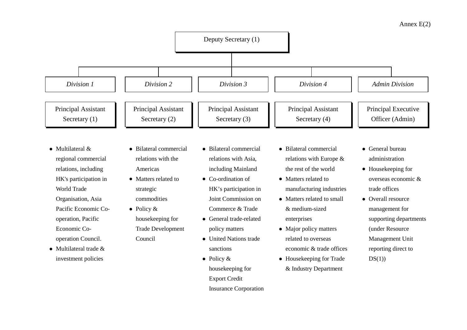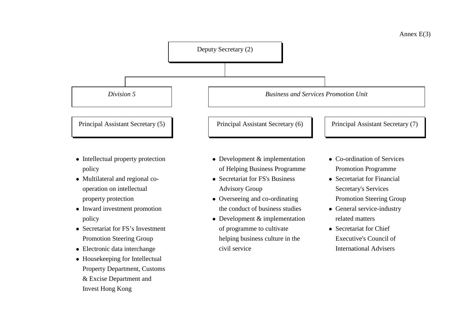

- Intellectual property protection policy
- Multilateral and regional cooperation on intellectual property protection
- Inward investment promotion policy
- Secretariat for FS's Investment Promotion Steering Group
- Electronic data interchange
- Housekeeping for Intellectual Property Department, Customs & Excise Department and Invest Hong Kong
- Development & implementation of Helping Business Programme
- Secretariat for FS's Business Advisory Group
- Overseeing and co-ordinating the conduct of business studies
- Development & implementation of programme to cultivate helping business culture in the civil service
- Co-ordination of Services Promotion Programme
- Secretariat for Financial Secretary's Services Promotion Steering Group
- General service-industry related matters
- Secretariat for Chief Executive's Council ofInternational Advisers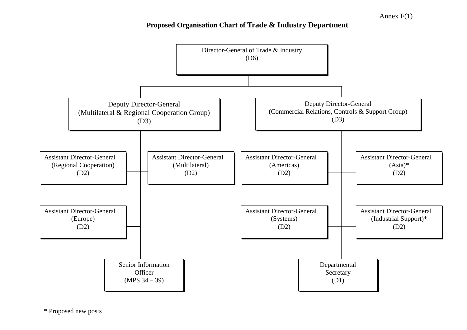## **Proposed Organisation Chart of Trade & Industry Department**

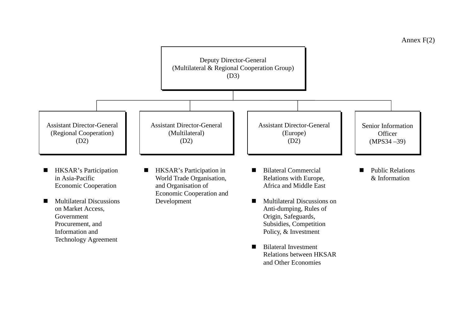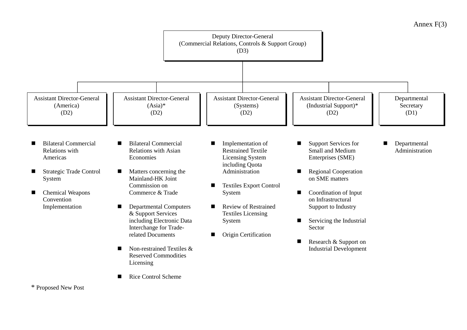

Annex F(3)

<sup>\*</sup> Proposed New Post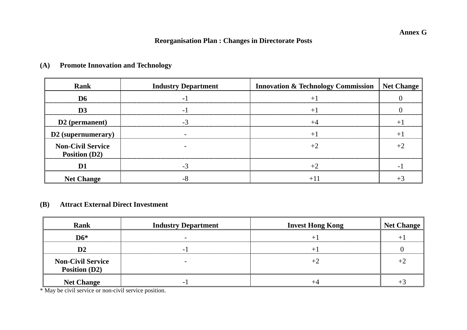#### **Annex G**

## **Reorganisation Plan : Changes in Directorate Posts**

| <b>Rank</b>                               | <b>Industry Department</b> | <b>Innovation &amp; Technology Commission   Net Change</b> |  |
|-------------------------------------------|----------------------------|------------------------------------------------------------|--|
|                                           |                            |                                                            |  |
|                                           |                            |                                                            |  |
| D2 (permanent)                            |                            |                                                            |  |
| D2 (supernumerary)                        |                            |                                                            |  |
| <b>Non-Civil Service</b><br>Position (D2) |                            |                                                            |  |
|                                           |                            |                                                            |  |
| <b>Net Change</b>                         |                            |                                                            |  |

## **(A) Promote Innovation and Technology**

### **(B) Attract External Direct Investment**

| <b>Rank</b>                                      | <b>Industry Department</b> | <b>Invest Hong Kong</b> | <b>Net Change</b> |
|--------------------------------------------------|----------------------------|-------------------------|-------------------|
| $D6*$                                            |                            |                         |                   |
|                                                  |                            |                         |                   |
| <b>Non-Civil Service</b><br><b>Position (D2)</b> |                            |                         |                   |
| <b>Net Change</b>                                | -                          |                         |                   |

\* May be civil service or non-civil service position.